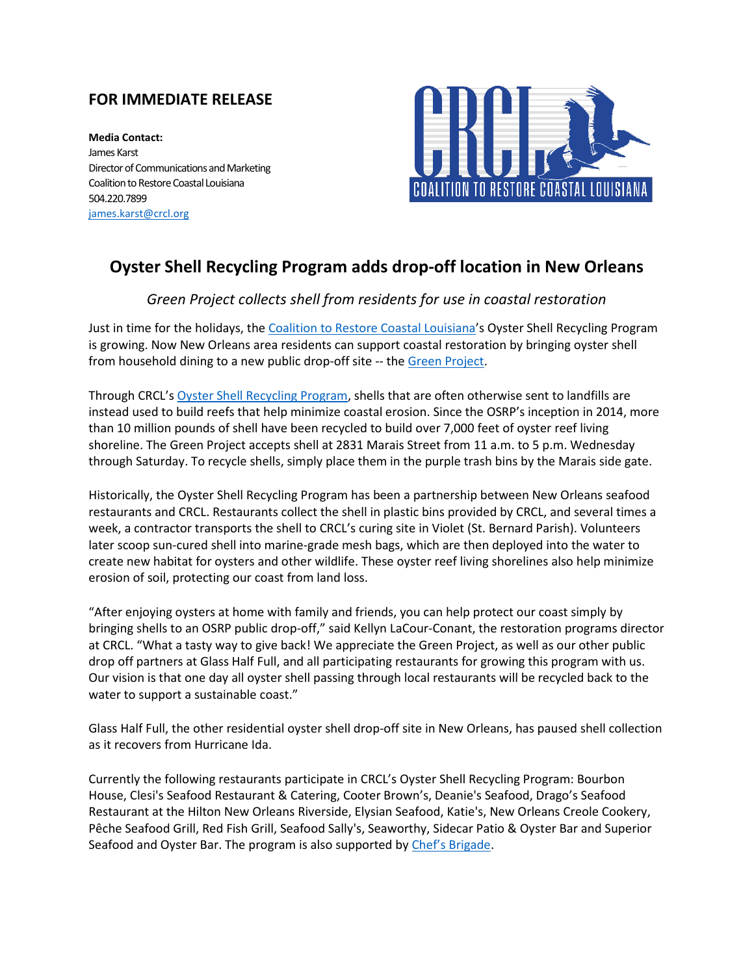## **FOR IMMEDIATE RELEASE**

**Media Contact:** James Karst Director of Communications and Marketing Coalition to Restore Coastal Louisiana 504.220.7899 [james.karst@crcl.org](mailto:james.karst@crcl.org)



## **Oyster Shell Recycling Program adds drop-off location in New Orleans**

## *Green Project collects shell from residents for use in coastal restoration*

Just in time for the holidays, the [Coalition to Restore Coastal Louisiana'](https://www.crcl.org/)s Oyster Shell Recycling Program is growing. Now New Orleans area residents can support coastal restoration by bringing oyster shell from household dining to a new public drop-off site -- the [Green Project.](https://www.thegreenproject.org/)

Through CRCL's [Oyster Shell Recycling Program,](https://www.arcgis.com/apps/MapJournal/index.html?appid=ae976afc10e6400d83f6a2b6ac24e0ed) shells that are often otherwise sent to landfills are instead used to build reefs that help minimize coastal erosion. Since the OSRP's inception in 2014, more than 10 million pounds of shell have been recycled to build over 7,000 feet of oyster reef living shoreline. The Green Project accepts shell at 2831 Marais Street from 11 a.m. to 5 p.m. Wednesday through Saturday. To recycle shells, simply place them in the purple trash bins by the Marais side gate.

Historically, the Oyster Shell Recycling Program has been a partnership between New Orleans seafood restaurants and CRCL. Restaurants collect the shell in plastic bins provided by CRCL, and several times a week, a contractor transports the shell to CRCL's curing site in Violet (St. Bernard Parish). Volunteers later scoop sun-cured shell into marine-grade mesh bags, which are then deployed into the water to create new habitat for oysters and other wildlife. These oyster reef living shorelines also help minimize erosion of soil, protecting our coast from land loss.

"After enjoying oysters at home with family and friends, you can help protect our coast simply by bringing shells to an OSRP public drop-off," said Kellyn LaCour-Conant, the restoration programs director at CRCL. "What a tasty way to give back! We appreciate the Green Project, as well as our other public drop off partners at Glass Half Full, and all participating restaurants for growing this program with us. Our vision is that one day all oyster shell passing through local restaurants will be recycled back to the water to support a sustainable coast."

Glass Half Full, the other residential oyster shell drop-off site in New Orleans, has paused shell collection as it recovers from Hurricane Ida.

Currently the following restaurants participate in CRCL's Oyster Shell Recycling Program: Bourbon House, Clesi's Seafood Restaurant & Catering, Cooter Brown's, Deanie's Seafood, Drago's Seafood Restaurant at the Hilton New Orleans Riverside, Elysian Seafood, Katie's, New Orleans Creole Cookery, Pêche Seafood Grill, Red Fish Grill, Seafood Sally's, Seaworthy, Sidecar Patio & Oyster Bar and Superior Seafood and Oyster Bar. The program is also supported by [Chef's Brigade.](https://chefsbrigade.org/)